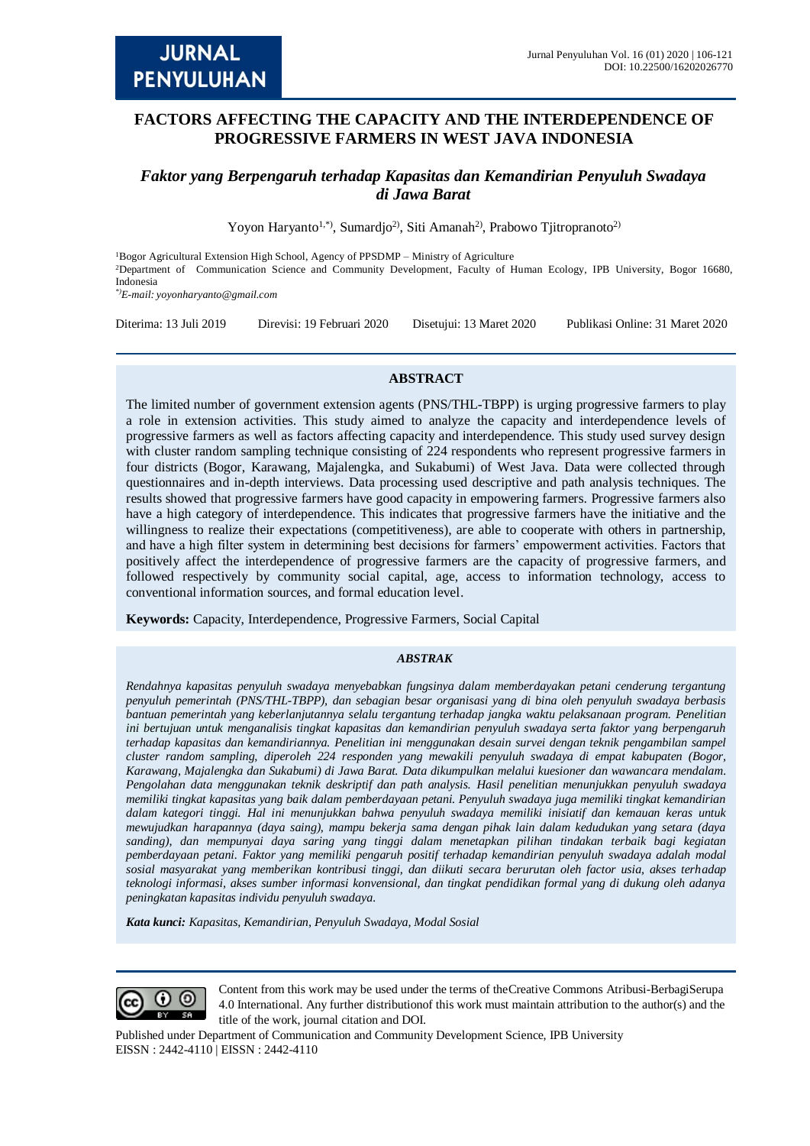# **FACTORS AFFECTING THE CAPACITY AND THE INTERDEPENDENCE OF PROGRESSIVE FARMERS IN WEST JAVA INDONESIA**

## *Faktor yang Berpengaruh terhadap Kapasitas dan Kemandirian Penyuluh Swadaya di Jawa Barat*

Yoyon Haryanto<sup>1,\*)</sup>, Sumardjo<sup>2</sup>, Siti Amanah<sup>2</sup>, Prabowo Tjitropranoto<sup>2)</sup>

<sup>1</sup>Bogor Agricultural Extension High School, Agency of PPSDMP – Ministry of Agriculture <sup>2</sup>Department of Communication Science and Community Development, Faculty of Human Ecology, IPB University, Bogor 16680, Indonesia *\*)E-mail: [yoyonharyanto@gmail.com](mailto:yoyonharyanto@gmail.com)*

Diterima: 13 Juli 2019 Direvisi: 19 Februari 2020 Disetujui: 13 Maret 2020 Publikasi Online: 31 Maret 2020

#### **ABSTRACT**

The limited number of government extension agents (PNS/THL-TBPP) is urging progressive farmers to play a role in extension activities. This study aimed to analyze the capacity and interdependence levels of progressive farmers as well as factors affecting capacity and interdependence. This study used survey design with cluster random sampling technique consisting of 224 respondents who represent progressive farmers in four districts (Bogor, Karawang, Majalengka, and Sukabumi) of West Java. Data were collected through questionnaires and in-depth interviews. Data processing used descriptive and path analysis techniques. The results showed that progressive farmers have good capacity in empowering farmers. Progressive farmers also have a high category of interdependence. This indicates that progressive farmers have the initiative and the willingness to realize their expectations (competitiveness), are able to cooperate with others in partnership, and have a high filter system in determining best decisions for farmers' empowerment activities. Factors that positively affect the interdependence of progressive farmers are the capacity of progressive farmers, and followed respectively by community social capital, age, access to information technology, access to conventional information sources, and formal education level.

**Keywords:** Capacity, Interdependence, Progressive Farmers, Social Capital

#### *ABSTRAK*

*Rendahnya kapasitas penyuluh swadaya menyebabkan fungsinya dalam memberdayakan petani cenderung tergantung penyuluh pemerintah (PNS/THL-TBPP), dan sebagian besar organisasi yang di bina oleh penyuluh swadaya berbasis bantuan pemerintah yang keberlanjutannya selalu tergantung terhadap jangka waktu pelaksanaan program. Penelitian ini bertujuan untuk menganalisis tingkat kapasitas dan kemandirian penyuluh swadaya serta faktor yang berpengaruh terhadap kapasitas dan kemandiriannya. Penelitian ini menggunakan desain survei dengan teknik pengambilan sampel cluster random sampling, diperoleh 224 responden yang mewakili penyuluh swadaya di empat kabupaten (Bogor, Karawang, Majalengka dan Sukabumi) di Jawa Barat. Data dikumpulkan melalui kuesioner dan wawancara mendalam. Pengolahan data menggunakan teknik deskriptif dan path analysis. Hasil penelitian menunjukkan penyuluh swadaya memiliki tingkat kapasitas yang baik dalam pemberdayaan petani. Penyuluh swadaya juga memiliki tingkat kemandirian dalam kategori tinggi. Hal ini menunjukkan bahwa penyuluh swadaya memiliki inisiatif dan kemauan keras untuk mewujudkan harapannya (daya saing), mampu bekerja sama dengan pihak lain dalam kedudukan yang setara (daya sanding), dan mempunyai daya saring yang tinggi dalam menetapkan pilihan tindakan terbaik bagi kegiatan pemberdayaan petani. Faktor yang memiliki pengaruh positif terhadap kemandirian penyuluh swadaya adalah modal sosial masyarakat yang memberikan kontribusi tinggi, dan diikuti secara berurutan oleh factor usia, akses terhadap teknologi informasi, akses sumber informasi konvensional, dan tingkat pendidikan formal yang di dukung oleh adanya peningkatan kapasitas individu penyuluh swadaya.*

*Kata kunci: Kapasitas, Kemandirian, Penyuluh Swadaya, Modal Sosial*



Content from this work may be used under the terms of theCreative Commons Atribusi-BerbagiSerupa 4.0 International. Any further distributionof this work must maintain attribution to the author(s) and the title of the work, journal citation and DOI.

Published under Department of Communication and Community Development Science, IPB University EISSN : 2442-4110 | EISSN : 2442-4110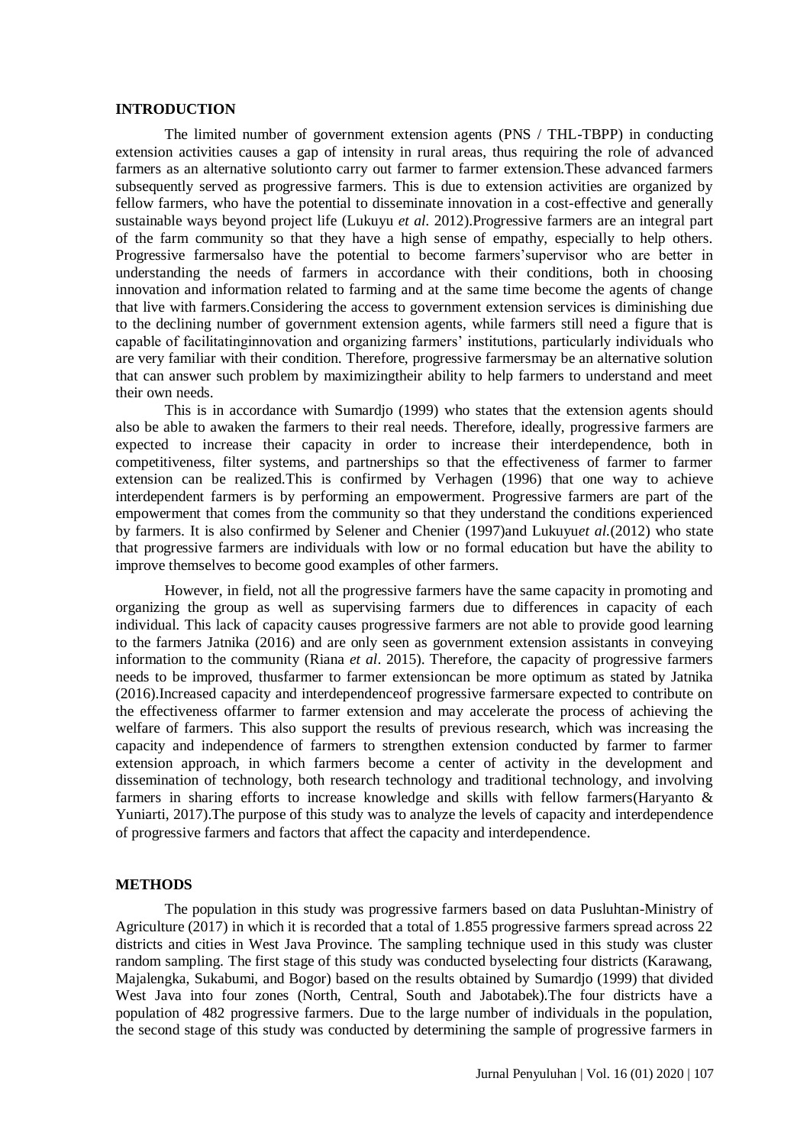#### **INTRODUCTION**

The limited number of government extension agents (PNS / THL-TBPP) in conducting extension activities causes a gap of intensity in rural areas, thus requiring the role of advanced farmers as an alternative solutionto carry out farmer to farmer extension.These advanced farmers subsequently served as progressive farmers. This is due to extension activities are organized by fellow farmers, who have the potential to disseminate innovation in a cost-effective and generally sustainable ways beyond project life (Lukuyu *et al.* 2012).Progressive farmers are an integral part of the farm community so that they have a high sense of empathy, especially to help others. Progressive farmersalso have the potential to become farmers'supervisor who are better in understanding the needs of farmers in accordance with their conditions, both in choosing innovation and information related to farming and at the same time become the agents of change that live with farmers.Considering the access to government extension services is diminishing due to the declining number of government extension agents, while farmers still need a figure that is capable of facilitatinginnovation and organizing farmers' institutions, particularly individuals who are very familiar with their condition. Therefore, progressive farmersmay be an alternative solution that can answer such problem by maximizingtheir ability to help farmers to understand and meet their own needs.

This is in accordance with Sumardjo (1999) who states that the extension agents should also be able to awaken the farmers to their real needs. Therefore, ideally, progressive farmers are expected to increase their capacity in order to increase their interdependence, both in competitiveness, filter systems, and partnerships so that the effectiveness of farmer to farmer extension can be realized.This is confirmed by Verhagen (1996) that one way to achieve interdependent farmers is by performing an empowerment. Progressive farmers are part of the empowerment that comes from the community so that they understand the conditions experienced by farmers. It is also confirmed by Selener and Chenier (1997)and Lukuyu*et al.*(2012) who state that progressive farmers are individuals with low or no formal education but have the ability to improve themselves to become good examples of other farmers.

However, in field, not all the progressive farmers have the same capacity in promoting and organizing the group as well as supervising farmers due to differences in capacity of each individual. This lack of capacity causes progressive farmers are not able to provide good learning to the farmers Jatnika (2016) and are only seen as government extension assistants in conveying information to the community (Riana *et al*. 2015). Therefore, the capacity of progressive farmers needs to be improved, thusfarmer to farmer extensioncan be more optimum as stated by Jatnika (2016).Increased capacity and interdependenceof progressive farmersare expected to contribute on the effectiveness offarmer to farmer extension and may accelerate the process of achieving the welfare of farmers. This also support the results of previous research, which was increasing the capacity and independence of farmers to strengthen extension conducted by farmer to farmer extension approach, in which farmers become a center of activity in the development and dissemination of technology, both research technology and traditional technology, and involving farmers in sharing efforts to increase knowledge and skills with fellow farmers(Haryanto & Yuniarti, 2017).The purpose of this study was to analyze the levels of capacity and interdependence of progressive farmers and factors that affect the capacity and interdependence.

### **METHODS**

The population in this study was progressive farmers based on data Pusluhtan-Ministry of Agriculture (2017) in which it is recorded that a total of 1.855 progressive farmers spread across 22 districts and cities in West Java Province. The sampling technique used in this study was cluster random sampling. The first stage of this study was conducted byselecting four districts (Karawang, Majalengka, Sukabumi, and Bogor) based on the results obtained by Sumardjo (1999) that divided West Java into four zones (North, Central, South and Jabotabek).The four districts have a population of 482 progressive farmers. Due to the large number of individuals in the population, the second stage of this study was conducted by determining the sample of progressive farmers in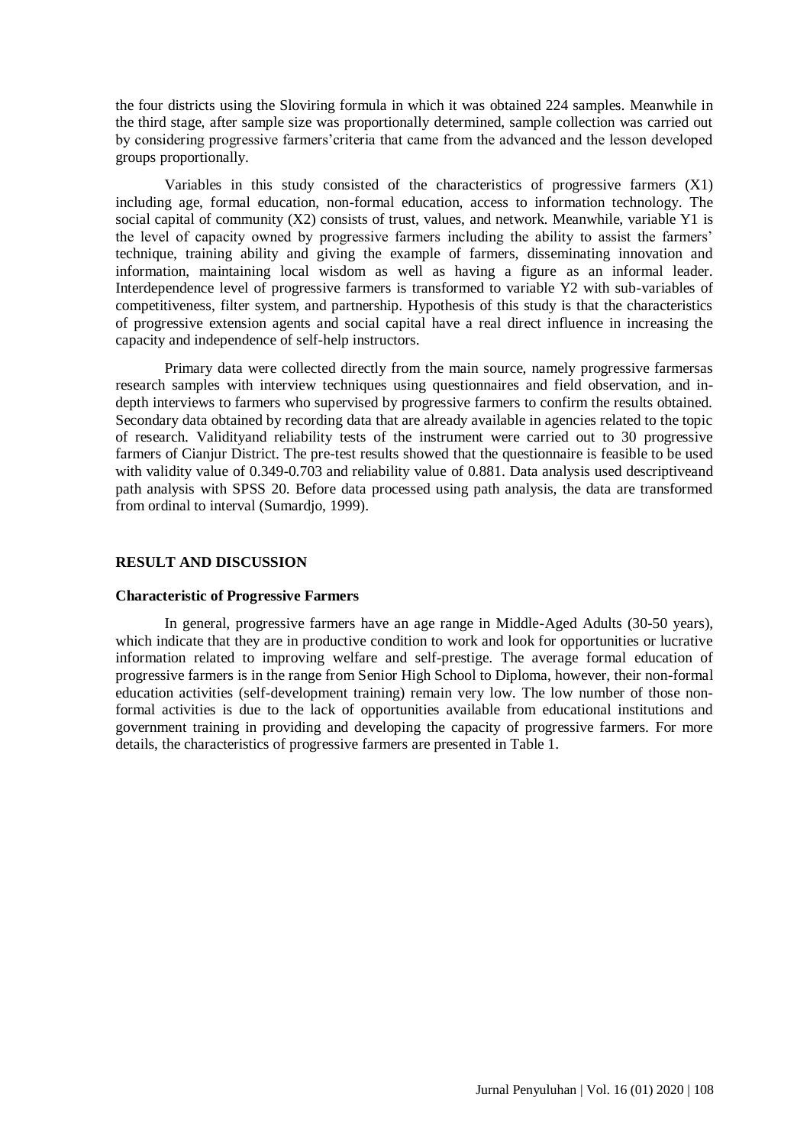the four districts using the Sloviring formula in which it was obtained 224 samples. Meanwhile in the third stage, after sample size was proportionally determined, sample collection was carried out by considering progressive farmers'criteria that came from the advanced and the lesson developed groups proportionally.

Variables in this study consisted of the characteristics of progressive farmers (X1) including age, formal education, non-formal education, access to information technology. The social capital of community (X2) consists of trust, values, and network. Meanwhile, variable Y1 is the level of capacity owned by progressive farmers including the ability to assist the farmers' technique, training ability and giving the example of farmers, disseminating innovation and information, maintaining local wisdom as well as having a figure as an informal leader. Interdependence level of progressive farmers is transformed to variable Y2 with sub-variables of competitiveness, filter system, and partnership. Hypothesis of this study is that the characteristics of progressive extension agents and social capital have a real direct influence in increasing the capacity and independence of self-help instructors.

Primary data were collected directly from the main source, namely progressive farmersas research samples with interview techniques using questionnaires and field observation, and indepth interviews to farmers who supervised by progressive farmers to confirm the results obtained. Secondary data obtained by recording data that are already available in agencies related to the topic of research. Validityand reliability tests of the instrument were carried out to 30 progressive farmers of Cianjur District. The pre-test results showed that the questionnaire is feasible to be used with validity value of 0.349-0.703 and reliability value of 0.881. Data analysis used descriptiveand path analysis with SPSS 20. Before data processed using path analysis, the data are transformed from ordinal to interval (Sumardjo, 1999).

### **RESULT AND DISCUSSION**

#### **Characteristic of Progressive Farmers**

In general, progressive farmers have an age range in Middle-Aged Adults (30-50 years), which indicate that they are in productive condition to work and look for opportunities or lucrative information related to improving welfare and self-prestige. The average formal education of progressive farmers is in the range from Senior High School to Diploma, however, their non-formal education activities (self-development training) remain very low. The low number of those nonformal activities is due to the lack of opportunities available from educational institutions and government training in providing and developing the capacity of progressive farmers. For more details, the characteristics of progressive farmers are presented in Table 1.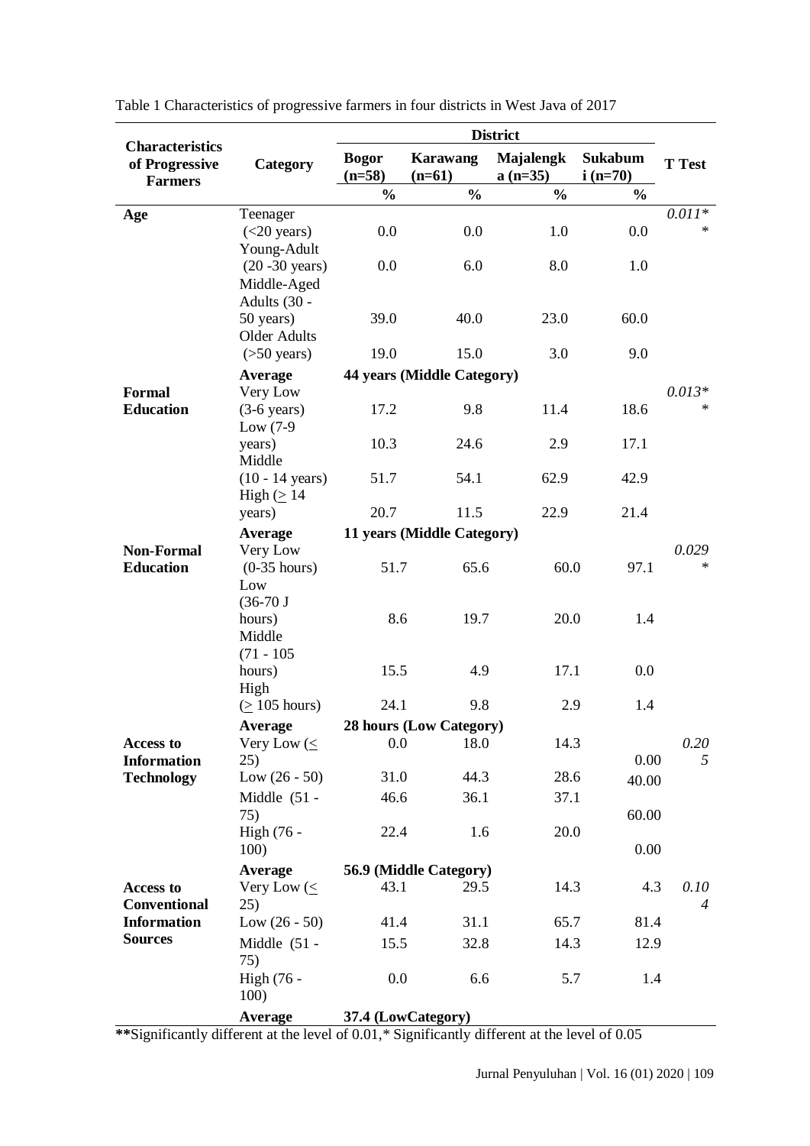|                                                            |                            | <b>District</b>          |                             |                               |                             |                 |  |
|------------------------------------------------------------|----------------------------|--------------------------|-----------------------------|-------------------------------|-----------------------------|-----------------|--|
| <b>Characteristics</b><br>of Progressive<br><b>Farmers</b> | Category                   | <b>Bogor</b><br>$(n=58)$ | <b>Karawang</b><br>$(n=61)$ | <b>Majalengk</b><br>$a(n=35)$ | <b>Sukabum</b><br>$i(n=70)$ | <b>T</b> Test   |  |
|                                                            |                            | $\frac{0}{0}$            | $\frac{0}{0}$               | $\frac{0}{0}$                 | $\frac{0}{0}$               |                 |  |
| Age                                                        | Teenager                   |                          |                             |                               |                             | $0.011*$        |  |
|                                                            | (<20 years)                | 0.0                      | 0.0                         | 1.0                           | 0.0                         | $\ast$          |  |
|                                                            | Young-Adult                |                          |                             |                               |                             |                 |  |
|                                                            | $(20 - 30 \text{ years})$  | 0.0                      | 6.0                         | 8.0                           | 1.0                         |                 |  |
|                                                            | Middle-Aged                |                          |                             |                               |                             |                 |  |
|                                                            | Adults (30 -<br>50 years)  | 39.0                     | 40.0                        | 23.0                          | 60.0                        |                 |  |
|                                                            | <b>Older Adults</b>        |                          |                             |                               |                             |                 |  |
|                                                            | $($ >50 years $)$          | 19.0                     | 15.0                        | 3.0                           | 9.0                         |                 |  |
|                                                            | <b>Average</b>             |                          | 44 years (Middle Category)  |                               |                             |                 |  |
| <b>Formal</b>                                              | Very Low                   |                          |                             |                               |                             | $0.013*$        |  |
| <b>Education</b>                                           | $(3-6 \text{ years})$      | 17.2                     | 9.8                         | 11.4                          | 18.6                        | $\ast$          |  |
|                                                            | Low $(7-9)$                |                          |                             |                               |                             |                 |  |
|                                                            | years)                     | 10.3                     | 24.6                        | 2.9                           | 17.1                        |                 |  |
|                                                            | Middle                     |                          |                             |                               |                             |                 |  |
|                                                            | $(10 - 14 \text{ years})$  | 51.7                     | 54.1                        | 62.9                          | 42.9                        |                 |  |
|                                                            | High $( \geq 14$           |                          |                             |                               |                             |                 |  |
|                                                            | years)                     | 20.7                     | 11.5                        | 22.9                          | 21.4                        |                 |  |
|                                                            | <b>Average</b>             |                          | 11 years (Middle Category)  |                               |                             |                 |  |
| <b>Non-Formal</b><br><b>Education</b>                      | Very Low<br>$(0-35$ hours) | 51.7                     | 65.6                        | 60.0                          | 97.1                        | 0.029<br>$\ast$ |  |
|                                                            | Low                        |                          |                             |                               |                             |                 |  |
|                                                            | $(36-70)$                  |                          |                             |                               |                             |                 |  |
|                                                            | hours)                     | 8.6                      | 19.7                        | 20.0                          | 1.4                         |                 |  |
|                                                            | Middle                     |                          |                             |                               |                             |                 |  |
|                                                            | $(71 - 105)$               |                          |                             |                               |                             |                 |  |
|                                                            | hours)                     | 15.5                     | 4.9                         | 17.1                          | 0.0                         |                 |  |
|                                                            | High                       |                          |                             |                               |                             |                 |  |
|                                                            | $( \geq 105$ hours)        | 24.1                     | 9.8                         | 2.9                           | 1.4                         |                 |  |
|                                                            | <b>Average</b>             |                          | 28 hours (Low Category)     |                               |                             |                 |  |
| Access to                                                  | Very Low $(\leq$<br>25)    | 0.0                      | 18.0                        | 14.3                          | 0.00                        | 0.20<br>5       |  |
| <b>Information</b><br><b>Technology</b>                    | Low $(26 - 50)$            | 31.0                     | 44.3                        | 28.6                          |                             |                 |  |
|                                                            | Middle $(51 -$             | 46.6                     | 36.1                        | 37.1                          | 40.00                       |                 |  |
|                                                            | 75)                        |                          |                             |                               | 60.00                       |                 |  |
|                                                            | High (76 -                 | 22.4                     | 1.6                         | 20.0                          |                             |                 |  |
|                                                            | 100)                       |                          |                             |                               | 0.00                        |                 |  |
|                                                            | <b>Average</b>             |                          | 56.9 (Middle Category)      |                               |                             |                 |  |
| Access to                                                  | Very Low $(\leq$           | 43.1                     | 29.5                        | 14.3                          | 4.3                         | 0.10            |  |
| <b>Conventional</b>                                        | 25)                        |                          |                             |                               |                             | $\overline{4}$  |  |
| <b>Information</b>                                         | Low $(26 - 50)$            | 41.4                     | 31.1                        | 65.7                          | 81.4                        |                 |  |
| <b>Sources</b>                                             | Middle $(51 -$             | 15.5                     | 32.8                        | 14.3                          | 12.9                        |                 |  |
|                                                            | 75)                        |                          |                             |                               |                             |                 |  |
|                                                            | High (76 -                 | 0.0                      | 6.6                         | 5.7                           | 1.4                         |                 |  |
|                                                            | 100)                       |                          |                             |                               |                             |                 |  |
|                                                            | Average                    |                          | 37.4 (LowCategory)          |                               |                             |                 |  |

Table 1 Characteristics of progressive farmers in four districts in West Java of 2017

**\*\***Significantly different at the level of 0.01,\* Significantly different at the level of 0.05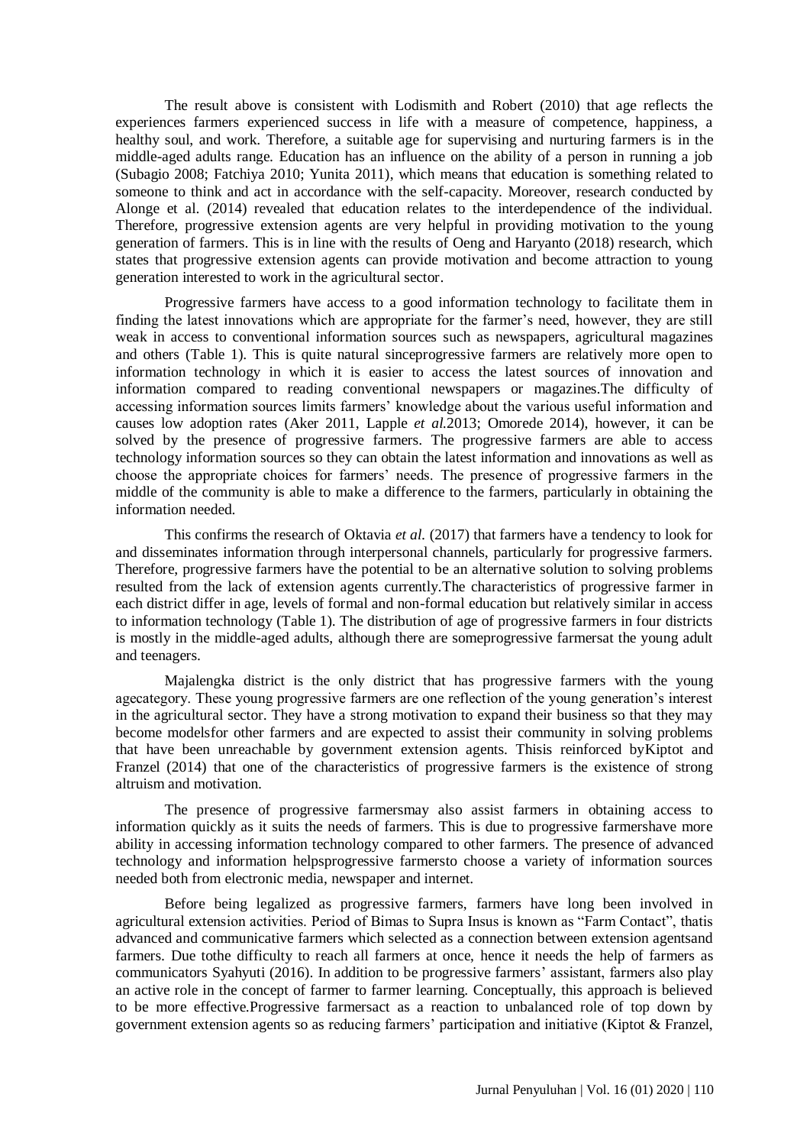The result above is consistent with Lodismith and Robert (2010) that age reflects the experiences farmers experienced success in life with a measure of competence, happiness, a healthy soul, and work. Therefore, a suitable age for supervising and nurturing farmers is in the middle-aged adults range. Education has an influence on the ability of a person in running a job (Subagio 2008; Fatchiya 2010; Yunita 2011), which means that education is something related to someone to think and act in accordance with the self-capacity. Moreover, research conducted by Alonge et al. (2014) revealed that education relates to the interdependence of the individual. Therefore, progressive extension agents are very helpful in providing motivation to the young generation of farmers. This is in line with the results of Oeng and Haryanto (2018) research, which states that progressive extension agents can provide motivation and become attraction to young generation interested to work in the agricultural sector.

Progressive farmers have access to a good information technology to facilitate them in finding the latest innovations which are appropriate for the farmer's need, however, they are still weak in access to conventional information sources such as newspapers, agricultural magazines and others (Table 1). This is quite natural sinceprogressive farmers are relatively more open to information technology in which it is easier to access the latest sources of innovation and information compared to reading conventional newspapers or magazines.The difficulty of accessing information sources limits farmers' knowledge about the various useful information and causes low adoption rates (Aker 2011, Lapple *et al.*2013; Omorede 2014), however, it can be solved by the presence of progressive farmers. The progressive farmers are able to access technology information sources so they can obtain the latest information and innovations as well as choose the appropriate choices for farmers' needs. The presence of progressive farmers in the middle of the community is able to make a difference to the farmers, particularly in obtaining the information needed.

This confirms the research of Oktavia *et al.* (2017) that farmers have a tendency to look for and disseminates information through interpersonal channels, particularly for progressive farmers. Therefore, progressive farmers have the potential to be an alternative solution to solving problems resulted from the lack of extension agents currently.The characteristics of progressive farmer in each district differ in age, levels of formal and non-formal education but relatively similar in access to information technology (Table 1). The distribution of age of progressive farmers in four districts is mostly in the middle-aged adults, although there are someprogressive farmersat the young adult and teenagers.

Majalengka district is the only district that has progressive farmers with the young agecategory. These young progressive farmers are one reflection of the young generation's interest in the agricultural sector. They have a strong motivation to expand their business so that they may become modelsfor other farmers and are expected to assist their community in solving problems that have been unreachable by government extension agents. Thisis reinforced byKiptot and Franzel (2014) that one of the characteristics of progressive farmers is the existence of strong altruism and motivation.

The presence of progressive farmersmay also assist farmers in obtaining access to information quickly as it suits the needs of farmers. This is due to progressive farmershave more ability in accessing information technology compared to other farmers. The presence of advanced technology and information helpsprogressive farmersto choose a variety of information sources needed both from electronic media, newspaper and internet.

Before being legalized as progressive farmers, farmers have long been involved in agricultural extension activities. Period of Bimas to Supra Insus is known as "Farm Contact", thatis advanced and communicative farmers which selected as a connection between extension agentsand farmers. Due tothe difficulty to reach all farmers at once, hence it needs the help of farmers as communicators Syahyuti (2016). In addition to be progressive farmers' assistant, farmers also play an active role in the concept of farmer to farmer learning. Conceptually, this approach is believed to be more effective.Progressive farmersact as a reaction to unbalanced role of top down by government extension agents so as reducing farmers' participation and initiative (Kiptot & Franzel,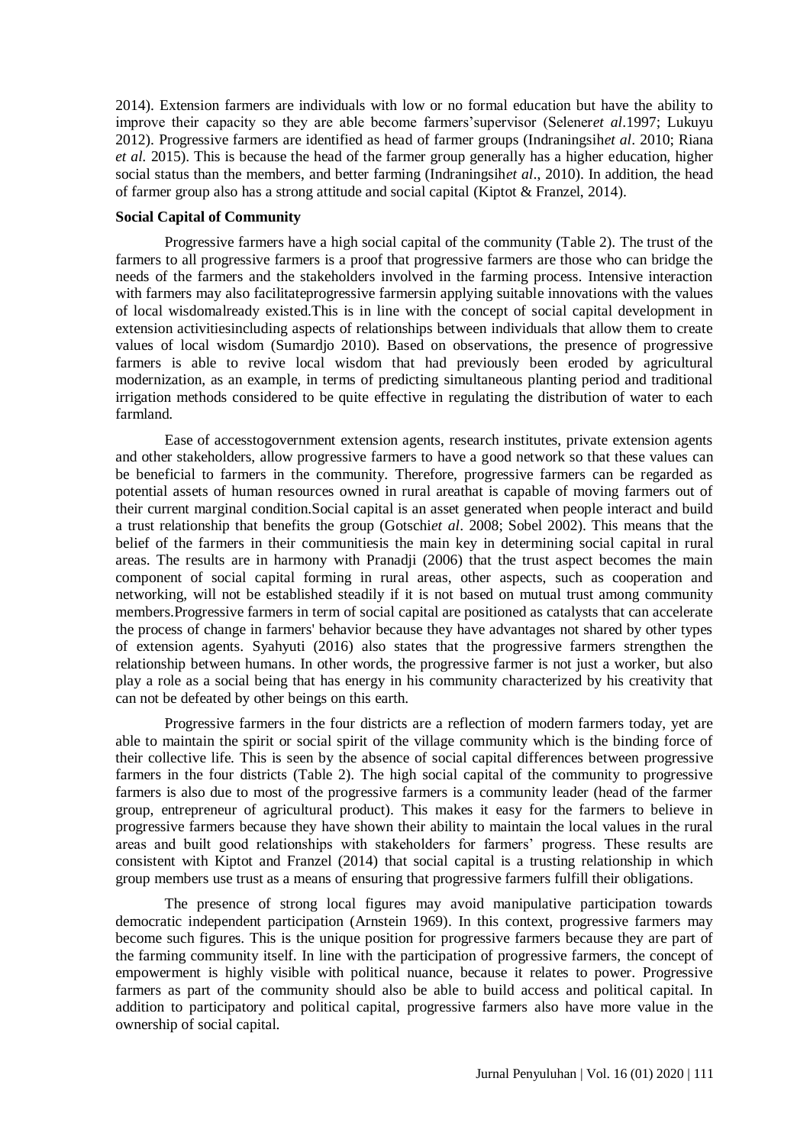2014). Extension farmers are individuals with low or no formal education but have the ability to improve their capacity so they are able become farmers'supervisor (Selener*et al*.1997; Lukuyu 2012). Progressive farmers are identified as head of farmer groups (Indraningsih*et al*. 2010; Riana *et al.* 2015). This is because the head of the farmer group generally has a higher education, higher social status than the members, and better farming (Indraningsih*et al*., 2010). In addition, the head of farmer group also has a strong attitude and social capital (Kiptot & Franzel, 2014).

### **Social Capital of Community**

Progressive farmers have a high social capital of the community (Table 2). The trust of the farmers to all progressive farmers is a proof that progressive farmers are those who can bridge the needs of the farmers and the stakeholders involved in the farming process. Intensive interaction with farmers may also facilitateprogressive farmersin applying suitable innovations with the values of local wisdomalready existed.This is in line with the concept of social capital development in extension activitiesincluding aspects of relationships between individuals that allow them to create values of local wisdom (Sumardjo 2010). Based on observations, the presence of progressive farmers is able to revive local wisdom that had previously been eroded by agricultural modernization, as an example, in terms of predicting simultaneous planting period and traditional irrigation methods considered to be quite effective in regulating the distribution of water to each farmland.

Ease of accesstogovernment extension agents, research institutes, private extension agents and other stakeholders, allow progressive farmers to have a good network so that these values can be beneficial to farmers in the community. Therefore, progressive farmers can be regarded as potential assets of human resources owned in rural areathat is capable of moving farmers out of their current marginal condition.Social capital is an asset generated when people interact and build a trust relationship that benefits the group (Gotschi*et al*. 2008; Sobel 2002). This means that the belief of the farmers in their communitiesis the main key in determining social capital in rural areas. The results are in harmony with Pranadji (2006) that the trust aspect becomes the main component of social capital forming in rural areas, other aspects, such as cooperation and networking, will not be established steadily if it is not based on mutual trust among community members.Progressive farmers in term of social capital are positioned as catalysts that can accelerate the process of change in farmers' behavior because they have advantages not shared by other types of extension agents. Syahyuti (2016) also states that the progressive farmers strengthen the relationship between humans. In other words, the progressive farmer is not just a worker, but also play a role as a social being that has energy in his community characterized by his creativity that can not be defeated by other beings on this earth.

Progressive farmers in the four districts are a reflection of modern farmers today, yet are able to maintain the spirit or social spirit of the village community which is the binding force of their collective life. This is seen by the absence of social capital differences between progressive farmers in the four districts (Table 2). The high social capital of the community to progressive farmers is also due to most of the progressive farmers is a community leader (head of the farmer group, entrepreneur of agricultural product). This makes it easy for the farmers to believe in progressive farmers because they have shown their ability to maintain the local values in the rural areas and built good relationships with stakeholders for farmers' progress. These results are consistent with Kiptot and Franzel (2014) that social capital is a trusting relationship in which group members use trust as a means of ensuring that progressive farmers fulfill their obligations.

The presence of strong local figures may avoid manipulative participation towards democratic independent participation (Arnstein 1969). In this context, progressive farmers may become such figures. This is the unique position for progressive farmers because they are part of the farming community itself. In line with the participation of progressive farmers, the concept of empowerment is highly visible with political nuance, because it relates to power. Progressive farmers as part of the community should also be able to build access and political capital. In addition to participatory and political capital, progressive farmers also have more value in the ownership of social capital.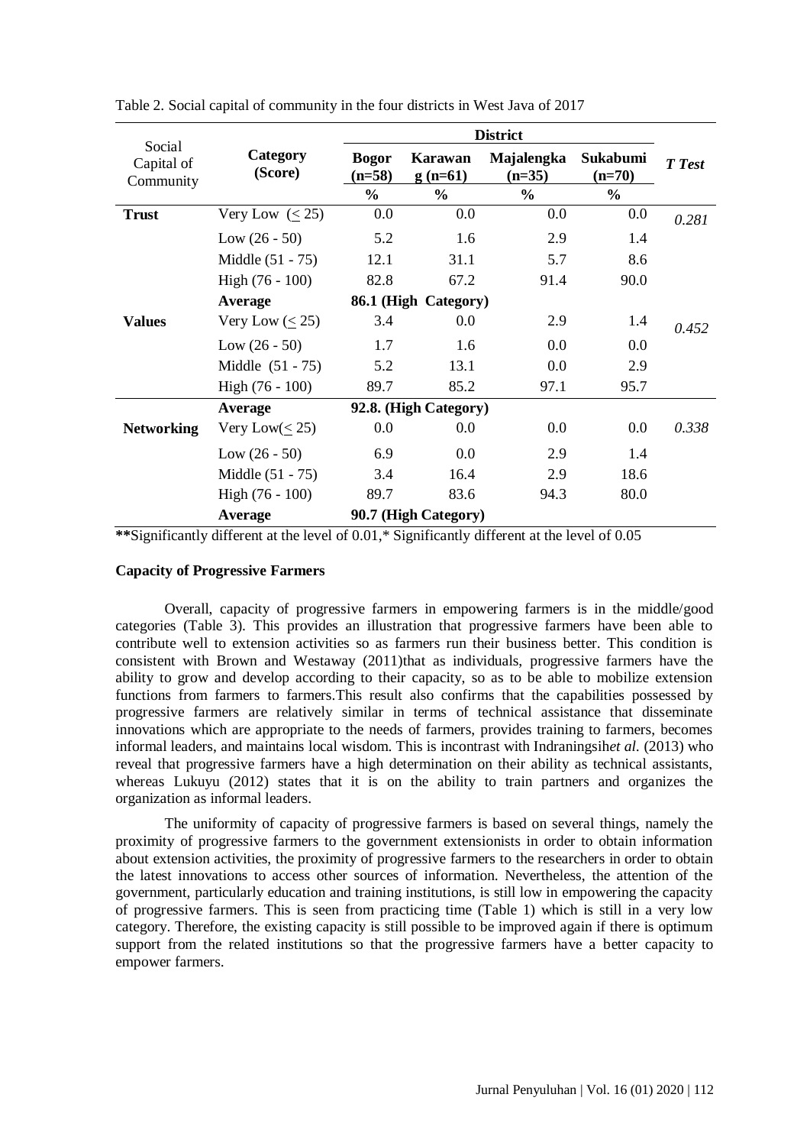|                                   |                      | <b>District</b>          |                      |                        |                      |        |
|-----------------------------------|----------------------|--------------------------|----------------------|------------------------|----------------------|--------|
| Social<br>Capital of<br>Community | Category<br>(Score)  | <b>Bogor</b><br>$(n=58)$ | Karawan<br>$g(n=61)$ | Majalengka<br>$(n=35)$ | Sukabumi<br>$(n=70)$ | T Test |
|                                   |                      | $\frac{6}{10}$           | $\frac{0}{0}$        | $\frac{6}{9}$          | $\frac{0}{0}$        |        |
| <b>Trust</b>                      | Very Low $(\leq 25)$ | $0.0\,$                  | 0.0                  | 0.0                    | 0.0                  | 0.281  |
|                                   | Low $(26 - 50)$      | 5.2                      | 1.6                  | 2.9                    | 1.4                  |        |
|                                   | Middle (51 - 75)     | 12.1                     | 31.1                 | 5.7                    | 8.6                  |        |
|                                   | High $(76 - 100)$    | 82.8                     | 67.2                 | 91.4                   | 90.0                 |        |
|                                   | Average              |                          | 86.1 (High Category) |                        |                      |        |
| <b>Values</b>                     | Very Low $(\leq 25)$ | 3.4                      | 0.0                  | 2.9                    | 1.4                  | 0.452  |
|                                   | Low $(26 - 50)$      | 1.7                      | 1.6                  | 0.0                    | 0.0                  |        |
|                                   | Middle $(51 - 75)$   | 5.2                      | 13.1                 | 0.0                    | 2.9                  |        |
|                                   | High $(76 - 100)$    | 89.7                     | 85.2                 | 97.1                   | 95.7                 |        |
|                                   | Average              | 92.8. (High Category)    |                      |                        |                      |        |
| <b>Networking</b>                 | Very Low( $\leq$ 25) | $0.0\,$                  | 0.0                  | 0.0                    | $0.0\,$              | 0.338  |
|                                   | Low $(26 - 50)$      | 6.9                      | 0.0                  | 2.9                    | 1.4                  |        |
|                                   | Middle (51 - 75)     | 3.4                      | 16.4                 | 2.9                    | 18.6                 |        |
|                                   | High $(76 - 100)$    | 89.7                     | 83.6                 | 94.3                   | 80.0                 |        |
|                                   | Average              | 90.7 (High Category)     |                      |                        |                      |        |

Table 2. Social capital of community in the four districts in West Java of 2017

**\*\***Significantly different at the level of 0.01,\* Significantly different at the level of 0.05

### **Capacity of Progressive Farmers**

Overall, capacity of progressive farmers in empowering farmers is in the middle/good categories (Table 3). This provides an illustration that progressive farmers have been able to contribute well to extension activities so as farmers run their business better. This condition is consistent with Brown and Westaway (2011)that as individuals, progressive farmers have the ability to grow and develop according to their capacity, so as to be able to mobilize extension functions from farmers to farmers.This result also confirms that the capabilities possessed by progressive farmers are relatively similar in terms of technical assistance that disseminate innovations which are appropriate to the needs of farmers, provides training to farmers, becomes informal leaders, and maintains local wisdom. This is incontrast with Indraningsih*et al.* (2013) who reveal that progressive farmers have a high determination on their ability as technical assistants, whereas Lukuyu (2012) states that it is on the ability to train partners and organizes the organization as informal leaders.

The uniformity of capacity of progressive farmers is based on several things, namely the proximity of progressive farmers to the government extensionists in order to obtain information about extension activities, the proximity of progressive farmers to the researchers in order to obtain the latest innovations to access other sources of information. Nevertheless, the attention of the government, particularly education and training institutions, is still low in empowering the capacity of progressive farmers. This is seen from practicing time (Table 1) which is still in a very low category. Therefore, the existing capacity is still possible to be improved again if there is optimum support from the related institutions so that the progressive farmers have a better capacity to empower farmers.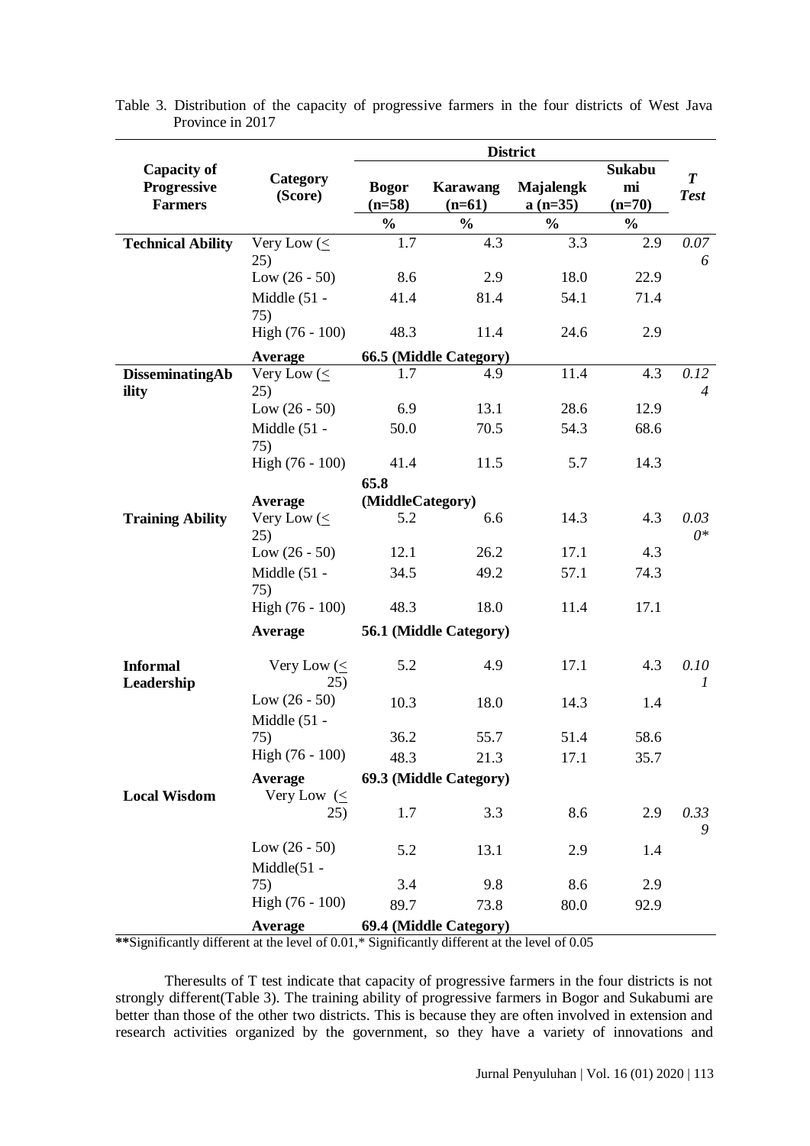|                                      |                                 | <b>District</b>          |                        |                        |                |                        |
|--------------------------------------|---------------------------------|--------------------------|------------------------|------------------------|----------------|------------------------|
| <b>Capacity of</b>                   |                                 |                          |                        |                        | Sukabu         | $\boldsymbol{T}$       |
| <b>Progressive</b><br><b>Farmers</b> | Category<br>(Score)             | <b>Bogor</b><br>$(n=58)$ | Karawang<br>$(n=61)$   | Majalengk<br>$a(n=35)$ | mi<br>$(n=70)$ | <b>Test</b>            |
|                                      |                                 | $\frac{6}{9}$            | $\frac{0}{0}$          | $\frac{0}{0}$          | $\frac{0}{0}$  |                        |
| <b>Technical Ability</b>             | Very Low $(\leq$<br>25)         | 1.7                      | 4.3                    | 3.3                    | 2.9            | 0.07<br>6              |
|                                      | Low $(26 - 50)$                 | 8.6                      | 2.9                    | 18.0                   | 22.9           |                        |
|                                      | Middle (51 -                    | 41.4                     | 81.4                   | 54.1                   | 71.4           |                        |
|                                      | 75)                             |                          |                        |                        |                |                        |
|                                      | High (76 - 100)                 | 48.3                     | 11.4                   | 24.6                   | 2.9            |                        |
|                                      | <b>Average</b>                  |                          | 66.5 (Middle Category) |                        |                |                        |
| DisseminatingAb<br>ility             | Very Low (<<br>25)              | 1.7                      | 4.9                    | 11.4                   | 4.3            | 0.12<br>$\overline{4}$ |
|                                      | Low $(26 - 50)$                 | 6.9                      | 13.1                   | 28.6                   | 12.9           |                        |
|                                      | Middle (51 -<br>75)             | 50.0                     | 70.5                   | 54.3                   | 68.6           |                        |
|                                      | High (76 - 100)                 | 41.4                     | 11.5                   | 5.7                    | 14.3           |                        |
|                                      |                                 | 65.8                     |                        |                        |                |                        |
|                                      | <b>Average</b>                  | (MiddleCategory)         |                        |                        |                |                        |
| <b>Training Ability</b>              | Very Low $(\leq$<br>25)         | 5.2                      | 6.6                    | 14.3                   | 4.3            | 0.03<br>$0^*$          |
|                                      | Low $(26 - 50)$                 | 12.1                     | 26.2                   | 17.1                   | 4.3            |                        |
|                                      | Middle (51 -<br>75)             | 34.5                     | 49.2                   | 57.1                   | 74.3           |                        |
|                                      | High (76 - 100)                 | 48.3                     | 18.0                   | 11.4                   | 17.1           |                        |
|                                      | <b>Average</b>                  |                          | 56.1 (Middle Category) |                        |                |                        |
| <b>Informal</b><br>Leadership        | Very Low $(\leq$<br>25)         | 5.2                      | 4.9                    | 17.1                   | 4.3            | 0.10<br>$\mathcal{I}$  |
|                                      | Low $(26 - 50)$<br>Middle (51 - | 10.3                     | 18.0                   | 14.3                   | 1.4            |                        |
|                                      | 75)                             | 36.2                     | 55.7                   | 51.4                   | 58.6           |                        |
|                                      | High (76 - 100)                 | 48.3                     | 21.3                   | 17.1                   | 35.7           |                        |
|                                      | <b>Average</b>                  |                          | 69.3 (Middle Category) |                        |                |                        |
| <b>Local Wisdom</b>                  | Very Low $(\leq$                |                          |                        |                        |                |                        |
|                                      | 25)                             | 1.7                      | 3.3                    | 8.6                    | 2.9            | 0.33<br>9              |
|                                      | Low $(26 - 50)$                 | 5.2                      | 13.1                   | 2.9                    | 1.4            |                        |
|                                      | $Middle(51 -$                   |                          |                        |                        |                |                        |
|                                      | 75)                             | 3.4                      | 9.8                    | 8.6                    | 2.9            |                        |
|                                      | High (76 - 100)                 | 89.7                     | 73.8                   | 80.0                   | 92.9           |                        |
|                                      | <b>Average</b>                  |                          | 69.4 (Middle Category) |                        |                |                        |

Table 3. Distribution of the capacity of progressive farmers in the four districts of West Java Province in 2017

**\*\***Significantly different at the level of 0.01,\* Significantly different at the level of 0.05

Theresults of T test indicate that capacity of progressive farmers in the four districts is not strongly different(Table 3). The training ability of progressive farmers in Bogor and Sukabumi are better than those of the other two districts. This is because they are often involved in extension and research activities organized by the government, so they have a variety of innovations and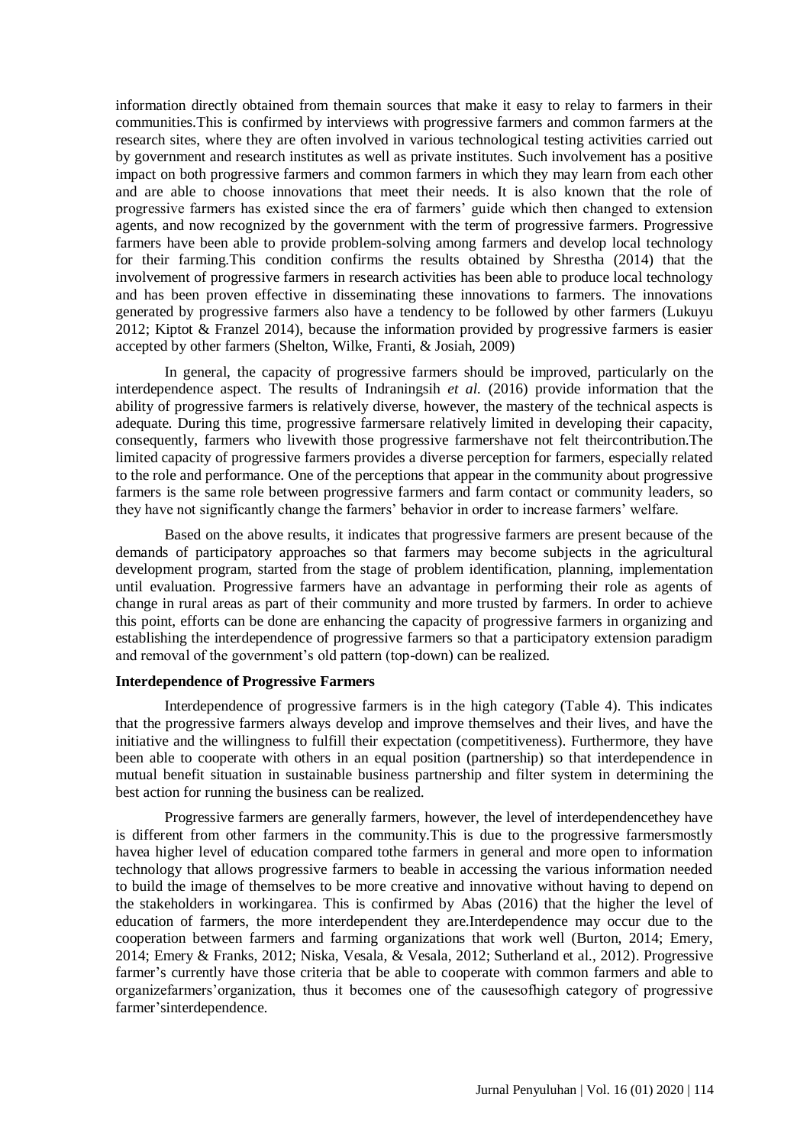information directly obtained from themain sources that make it easy to relay to farmers in their communities.This is confirmed by interviews with progressive farmers and common farmers at the research sites, where they are often involved in various technological testing activities carried out by government and research institutes as well as private institutes. Such involvement has a positive impact on both progressive farmers and common farmers in which they may learn from each other and are able to choose innovations that meet their needs. It is also known that the role of progressive farmers has existed since the era of farmers' guide which then changed to extension agents, and now recognized by the government with the term of progressive farmers. Progressive farmers have been able to provide problem-solving among farmers and develop local technology for their farming.This condition confirms the results obtained by Shrestha (2014) that the involvement of progressive farmers in research activities has been able to produce local technology and has been proven effective in disseminating these innovations to farmers. The innovations generated by progressive farmers also have a tendency to be followed by other farmers (Lukuyu 2012; Kiptot & Franzel 2014), because the information provided by progressive farmers is easier accepted by other farmers (Shelton, Wilke, Franti, & Josiah, 2009)

In general, the capacity of progressive farmers should be improved, particularly on the interdependence aspect. The results of Indraningsih *et al.* (2016) provide information that the ability of progressive farmers is relatively diverse, however, the mastery of the technical aspects is adequate. During this time, progressive farmersare relatively limited in developing their capacity, consequently, farmers who livewith those progressive farmershave not felt theircontribution.The limited capacity of progressive farmers provides a diverse perception for farmers, especially related to the role and performance. One of the perceptions that appear in the community about progressive farmers is the same role between progressive farmers and farm contact or community leaders, so they have not significantly change the farmers' behavior in order to increase farmers' welfare.

Based on the above results, it indicates that progressive farmers are present because of the demands of participatory approaches so that farmers may become subjects in the agricultural development program, started from the stage of problem identification, planning, implementation until evaluation. Progressive farmers have an advantage in performing their role as agents of change in rural areas as part of their community and more trusted by farmers. In order to achieve this point, efforts can be done are enhancing the capacity of progressive farmers in organizing and establishing the interdependence of progressive farmers so that a participatory extension paradigm and removal of the government's old pattern (top-down) can be realized.

## **Interdependence of Progressive Farmers**

Interdependence of progressive farmers is in the high category (Table 4). This indicates that the progressive farmers always develop and improve themselves and their lives, and have the initiative and the willingness to fulfill their expectation (competitiveness). Furthermore, they have been able to cooperate with others in an equal position (partnership) so that interdependence in mutual benefit situation in sustainable business partnership and filter system in determining the best action for running the business can be realized.

Progressive farmers are generally farmers, however, the level of interdependencethey have is different from other farmers in the community.This is due to the progressive farmersmostly havea higher level of education compared tothe farmers in general and more open to information technology that allows progressive farmers to beable in accessing the various information needed to build the image of themselves to be more creative and innovative without having to depend on the stakeholders in workingarea. This is confirmed by Abas (2016) that the higher the level of education of farmers, the more interdependent they are.Interdependence may occur due to the cooperation between farmers and farming organizations that work well (Burton, 2014; Emery, 2014; Emery & Franks, 2012; Niska, Vesala, & Vesala, 2012; Sutherland et al., 2012). Progressive farmer's currently have those criteria that be able to cooperate with common farmers and able to organizefarmers'organization, thus it becomes one of the causesofhigh category of progressive farmer'sinterdependence.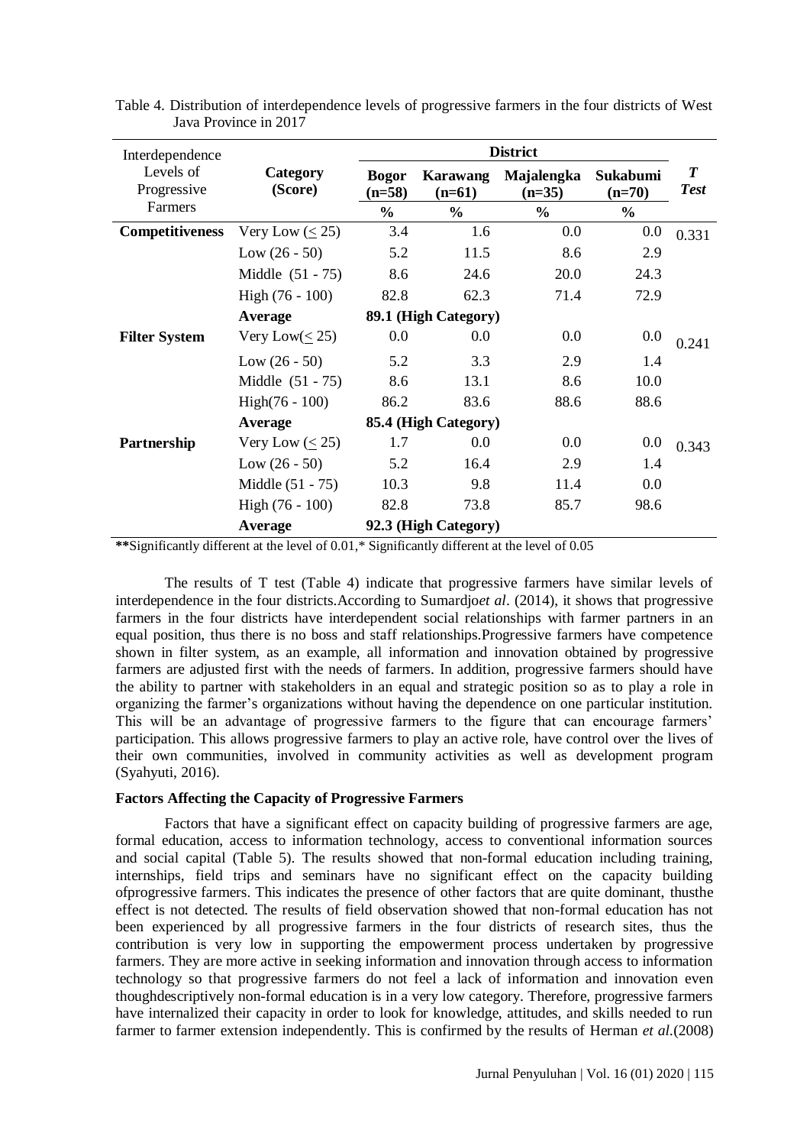| Interdependence             |                                                                                                                                                                                                                                                                                                                                               | <b>District</b>          |                      |                             |                      |                                 |
|-----------------------------|-----------------------------------------------------------------------------------------------------------------------------------------------------------------------------------------------------------------------------------------------------------------------------------------------------------------------------------------------|--------------------------|----------------------|-----------------------------|----------------------|---------------------------------|
| Levels of<br>Progressive    | Category<br>(Score)                                                                                                                                                                                                                                                                                                                           | <b>Bogor</b><br>$(n=58)$ | Karawang<br>$(n=61)$ | Majalengka<br>$(n=35)$      | Sukabumi<br>$(n=70)$ | $\boldsymbol{T}$<br><b>Test</b> |
| Farmers                     |                                                                                                                                                                                                                                                                                                                                               | $\frac{0}{0}$            | $\frac{0}{0}$        | $\frac{6}{6}$               | $\frac{0}{0}$        |                                 |
| <b>Competitiveness</b>      | Very Low $(\leq 25)$                                                                                                                                                                                                                                                                                                                          | 3.4                      | 1.6                  | 0.0                         | 0.0                  | 0.331                           |
|                             | Low $(26 - 50)$                                                                                                                                                                                                                                                                                                                               | 5.2                      | 11.5                 | 8.6                         | 2.9                  |                                 |
|                             | Middle $(51 - 75)$                                                                                                                                                                                                                                                                                                                            | 8.6                      | 24.6                 | 20.0                        | 24.3                 |                                 |
|                             | High (76 - 100)                                                                                                                                                                                                                                                                                                                               | 82.8                     | 62.3                 | 71.4                        | 72.9                 |                                 |
|                             | Average                                                                                                                                                                                                                                                                                                                                       |                          | 89.1 (High Category) |                             |                      |                                 |
| <b>Filter System</b>        | Very Low( $\leq$ 25)                                                                                                                                                                                                                                                                                                                          | 0.0                      | 0.0                  | 0.0                         | 0.0                  | 0.241                           |
|                             | Low $(26 - 50)$                                                                                                                                                                                                                                                                                                                               | 5.2                      | 3.3                  | 2.9                         | 1.4                  |                                 |
|                             | Middle $(51 - 75)$                                                                                                                                                                                                                                                                                                                            | 8.6                      | 13.1                 | 8.6                         | 10.0                 |                                 |
|                             | $High(76 - 100)$                                                                                                                                                                                                                                                                                                                              | 86.2                     | 83.6                 | 88.6                        | 88.6                 |                                 |
|                             | <b>Average</b>                                                                                                                                                                                                                                                                                                                                |                          | 85.4 (High Category) |                             |                      |                                 |
| Partnership                 | Very Low $(\leq 25)$                                                                                                                                                                                                                                                                                                                          | 1.7                      | 0.0                  | 0.0                         | 0.0                  | 0.343                           |
|                             | Low $(26 - 50)$                                                                                                                                                                                                                                                                                                                               | 5.2                      | 16.4                 | 2.9                         | 1.4                  |                                 |
|                             | Middle (51 - 75)                                                                                                                                                                                                                                                                                                                              | 10.3                     | 9.8                  | 11.4                        | 0.0                  |                                 |
|                             | High (76 - 100)                                                                                                                                                                                                                                                                                                                               | 82.8                     | 73.8                 | 85.7                        | 98.6                 |                                 |
| $\ldots \ldots$<br>$\cdots$ | Average<br>$\mathbf{1}$ $\mathbf{0}$ $\mathbf{0}$ $\mathbf{0}$ $\mathbf{1}$ $\mathbf{0}$ $\mathbf{0}$ $\mathbf{0}$ $\mathbf{0}$ $\mathbf{0}$ $\mathbf{0}$ $\mathbf{0}$ $\mathbf{0}$ $\mathbf{0}$ $\mathbf{0}$ $\mathbf{0}$ $\mathbf{0}$ $\mathbf{0}$ $\mathbf{0}$ $\mathbf{0}$ $\mathbf{0}$ $\mathbf{0}$ $\mathbf{0}$ $\mathbf{0}$ $\mathbf{$ |                          | 92.3 (High Category) | $\sim$ $\sim$ $\sim$ $\sim$ |                      |                                 |

Table 4. Distribution of interdependence levels of progressive farmers in the four districts of West Java Province in 2017

**\*\***Significantly different at the level of 0.01,\* Significantly different at the level of 0.05

The results of T test (Table 4) indicate that progressive farmers have similar levels of interdependence in the four districts.According to Sumardjo*et al*. (2014), it shows that progressive farmers in the four districts have interdependent social relationships with farmer partners in an equal position, thus there is no boss and staff relationships.Progressive farmers have competence shown in filter system, as an example, all information and innovation obtained by progressive farmers are adjusted first with the needs of farmers. In addition, progressive farmers should have the ability to partner with stakeholders in an equal and strategic position so as to play a role in organizing the farmer's organizations without having the dependence on one particular institution. This will be an advantage of progressive farmers to the figure that can encourage farmers' participation. This allows progressive farmers to play an active role, have control over the lives of their own communities, involved in community activities as well as development program (Syahyuti, 2016).

## **Factors Affecting the Capacity of Progressive Farmers**

Factors that have a significant effect on capacity building of progressive farmers are age, formal education, access to information technology, access to conventional information sources and social capital (Table 5). The results showed that non-formal education including training, internships, field trips and seminars have no significant effect on the capacity building ofprogressive farmers. This indicates the presence of other factors that are quite dominant, thusthe effect is not detected. The results of field observation showed that non-formal education has not been experienced by all progressive farmers in the four districts of research sites, thus the contribution is very low in supporting the empowerment process undertaken by progressive farmers. They are more active in seeking information and innovation through access to information technology so that progressive farmers do not feel a lack of information and innovation even thoughdescriptively non-formal education is in a very low category. Therefore, progressive farmers have internalized their capacity in order to look for knowledge, attitudes, and skills needed to run farmer to farmer extension independently. This is confirmed by the results of Herman *et al.*(2008)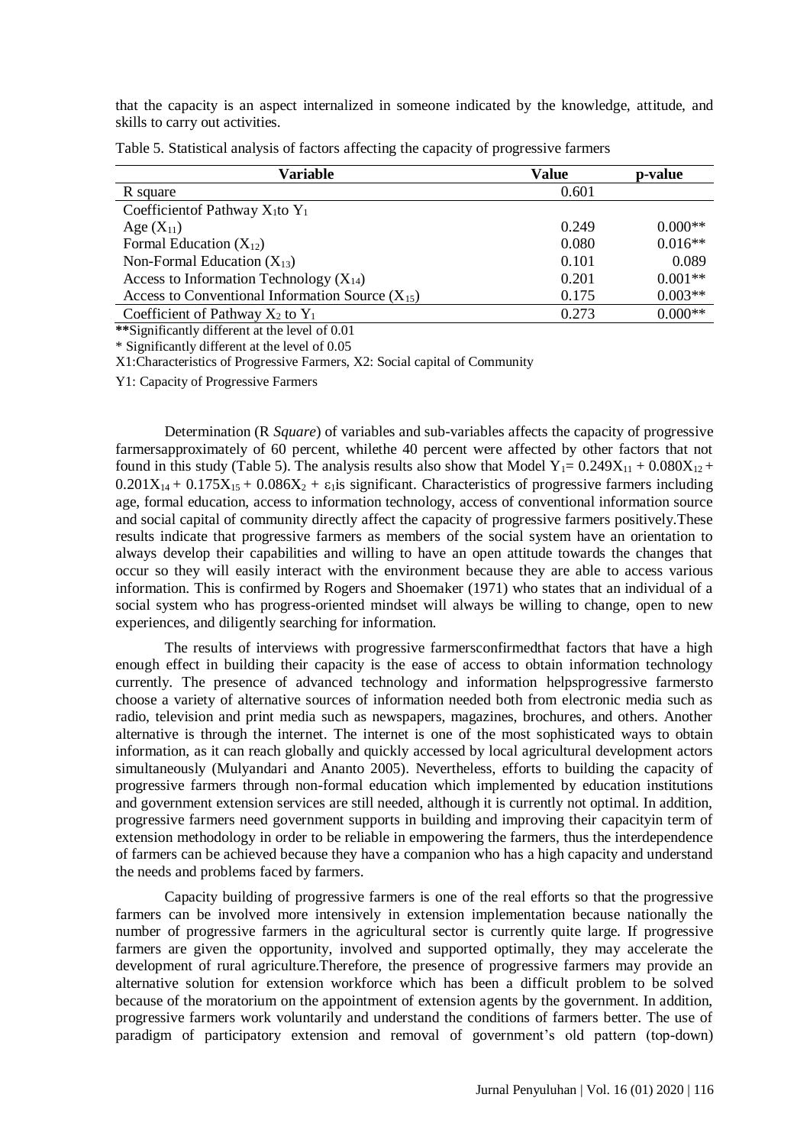that the capacity is an aspect internalized in someone indicated by the knowledge, attitude, and skills to carry out activities.

| <b>Variable</b>                                      | Value | p-value   |
|------------------------------------------------------|-------|-----------|
| R square                                             | 0.601 |           |
| Coefficient of Pathway $X_1$ to $Y_1$                |       |           |
| Age $(X_{11})$                                       | 0.249 | $0.000**$ |
| Formal Education $(X_{12})$                          | 0.080 | $0.016**$ |
| Non-Formal Education $(X_{13})$                      | 0.101 | 0.089     |
| Access to Information Technology $(X_{14})$          | 0.201 | $0.001**$ |
| Access to Conventional Information Source $(X_{15})$ | 0.175 | $0.003**$ |
| Coefficient of Pathway $X_2$ to $Y_1$                | 0.273 | $0.000**$ |

Table 5. Statistical analysis of factors affecting the capacity of progressive farmers

**\*\***Significantly different at the level of 0.01

\* Significantly different at the level of 0.05

X1:Characteristics of Progressive Farmers, X2: Social capital of Community

Y1: Capacity of Progressive Farmers

Determination (R *Square*) of variables and sub-variables affects the capacity of progressive farmersapproximately of 60 percent, whilethe 40 percent were affected by other factors that not found in this study (Table 5). The analysis results also show that Model  $Y_1 = 0.249X_{11} + 0.080X_{12} + 0.080X_{13}$  $0.201X_{14} + 0.175X_{15} + 0.086X_2 + \varepsilon_1$  is significant. Characteristics of progressive farmers including age, formal education, access to information technology, access of conventional information source and social capital of community directly affect the capacity of progressive farmers positively.These results indicate that progressive farmers as members of the social system have an orientation to always develop their capabilities and willing to have an open attitude towards the changes that occur so they will easily interact with the environment because they are able to access various information. This is confirmed by Rogers and Shoemaker (1971) who states that an individual of a social system who has progress-oriented mindset will always be willing to change, open to new experiences, and diligently searching for information.

The results of interviews with progressive farmersconfirmedthat factors that have a high enough effect in building their capacity is the ease of access to obtain information technology currently. The presence of advanced technology and information helpsprogressive farmersto choose a variety of alternative sources of information needed both from electronic media such as radio, television and print media such as newspapers, magazines, brochures, and others. Another alternative is through the internet. The internet is one of the most sophisticated ways to obtain information, as it can reach globally and quickly accessed by local agricultural development actors simultaneously (Mulyandari and Ananto 2005). Nevertheless, efforts to building the capacity of progressive farmers through non-formal education which implemented by education institutions and government extension services are still needed, although it is currently not optimal. In addition, progressive farmers need government supports in building and improving their capacityin term of extension methodology in order to be reliable in empowering the farmers, thus the interdependence of farmers can be achieved because they have a companion who has a high capacity and understand the needs and problems faced by farmers.

Capacity building of progressive farmers is one of the real efforts so that the progressive farmers can be involved more intensively in extension implementation because nationally the number of progressive farmers in the agricultural sector is currently quite large. If progressive farmers are given the opportunity, involved and supported optimally, they may accelerate the development of rural agriculture.Therefore, the presence of progressive farmers may provide an alternative solution for extension workforce which has been a difficult problem to be solved because of the moratorium on the appointment of extension agents by the government. In addition, progressive farmers work voluntarily and understand the conditions of farmers better. The use of paradigm of participatory extension and removal of government's old pattern (top-down)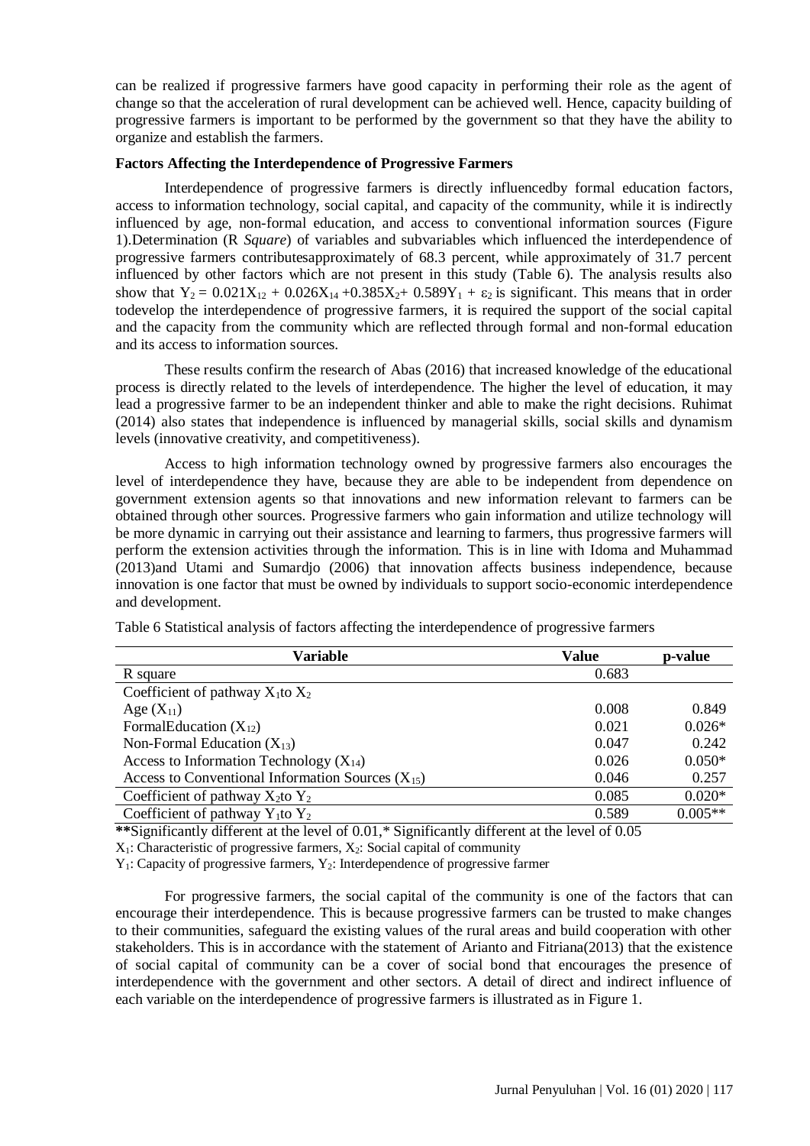can be realized if progressive farmers have good capacity in performing their role as the agent of change so that the acceleration of rural development can be achieved well. Hence, capacity building of progressive farmers is important to be performed by the government so that they have the ability to organize and establish the farmers.

### **Factors Affecting the Interdependence of Progressive Farmers**

Interdependence of progressive farmers is directly influencedby formal education factors, access to information technology, social capital, and capacity of the community, while it is indirectly influenced by age, non-formal education, and access to conventional information sources (Figure 1).Determination (R *Square*) of variables and subvariables which influenced the interdependence of progressive farmers contributesapproximately of 68.3 percent, while approximately of 31.7 percent influenced by other factors which are not present in this study (Table 6). The analysis results also show that  $Y_2 = 0.021X_{12} + 0.026X_{14} + 0.385X_{2} + 0.589Y_1 + \varepsilon_2$  is significant. This means that in order todevelop the interdependence of progressive farmers, it is required the support of the social capital and the capacity from the community which are reflected through formal and non-formal education and its access to information sources.

These results confirm the research of Abas (2016) that increased knowledge of the educational process is directly related to the levels of interdependence. The higher the level of education, it may lead a progressive farmer to be an independent thinker and able to make the right decisions. Ruhimat (2014) also states that independence is influenced by managerial skills, social skills and dynamism levels (innovative creativity, and competitiveness).

Access to high information technology owned by progressive farmers also encourages the level of interdependence they have, because they are able to be independent from dependence on government extension agents so that innovations and new information relevant to farmers can be obtained through other sources. Progressive farmers who gain information and utilize technology will be more dynamic in carrying out their assistance and learning to farmers, thus progressive farmers will perform the extension activities through the information. This is in line with Idoma and Muhammad (2013)and Utami and Sumardjo (2006) that innovation affects business independence, because innovation is one factor that must be owned by individuals to support socio-economic interdependence and development.

| Variable                                              | <b>Value</b> | p-value   |
|-------------------------------------------------------|--------------|-----------|
| R square                                              | 0.683        |           |
| Coefficient of pathway $X_1$ to $X_2$                 |              |           |
| Age $(X_{11})$                                        | 0.008        | 0.849     |
| FormalEducation $(X_{12})$                            | 0.021        | $0.026*$  |
| Non-Formal Education $(X_{13})$                       | 0.047        | 0.242     |
| Access to Information Technology $(X_{14})$           | 0.026        | $0.050*$  |
| Access to Conventional Information Sources $(X_{15})$ | 0.046        | 0.257     |
| Coefficient of pathway $X_2$ to $Y_2$                 | 0.085        | $0.020*$  |
| Coefficient of pathway $Y_1$ to $Y_2$                 | 0.589        | $0.005**$ |

Table 6 Statistical analysis of factors affecting the interdependence of progressive farmers

**\*\***Significantly different at the level of 0.01,\* Significantly different at the level of 0.05

 $X_1$ : Characteristic of progressive farmers,  $X_2$ : Social capital of community

 $Y_1$ : Capacity of progressive farmers,  $Y_2$ : Interdependence of progressive farmer

For progressive farmers, the social capital of the community is one of the factors that can encourage their interdependence. This is because progressive farmers can be trusted to make changes to their communities, safeguard the existing values of the rural areas and build cooperation with other stakeholders. This is in accordance with the statement of Arianto and Fitriana(2013) that the existence of social capital of community can be a cover of social bond that encourages the presence of interdependence with the government and other sectors. A detail of direct and indirect influence of each variable on the interdependence of progressive farmers is illustrated as in Figure 1.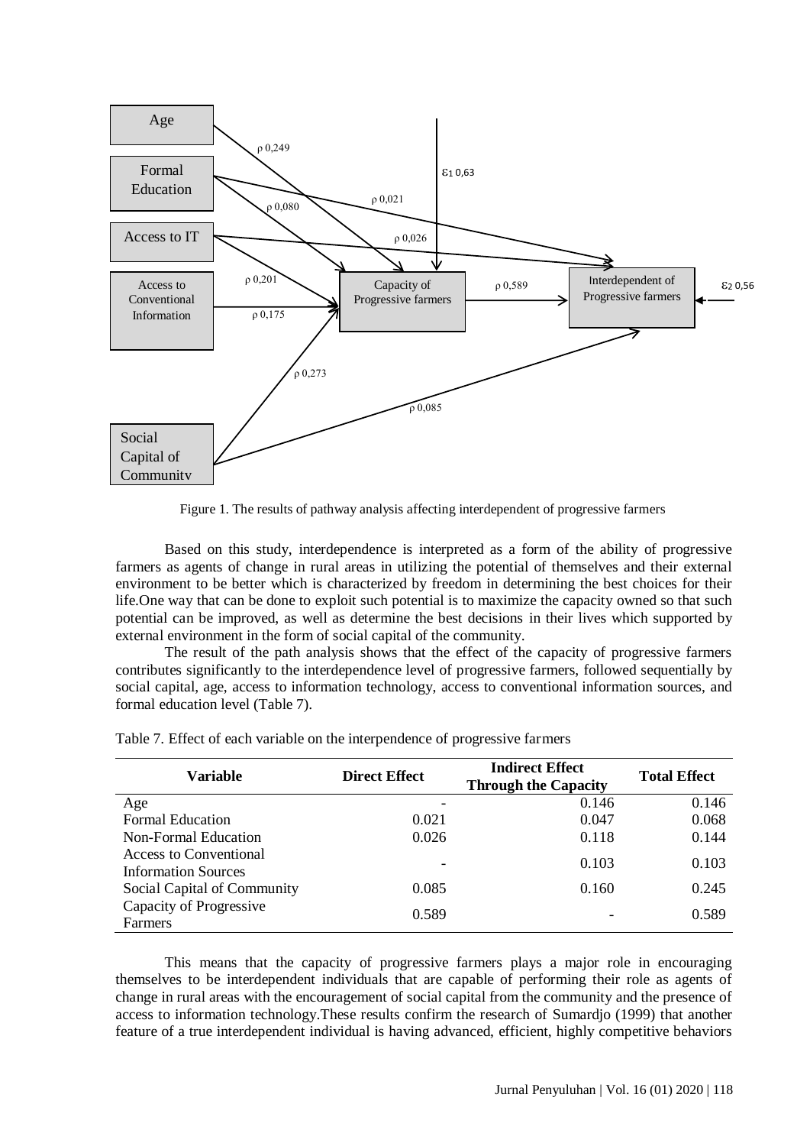

Figure 1. The results of pathway analysis affecting interdependent of progressive farmers

Based on this study, interdependence is interpreted as a form of the ability of progressive farmers as agents of change in rural areas in utilizing the potential of themselves and their external environment to be better which is characterized by freedom in determining the best choices for their life.One way that can be done to exploit such potential is to maximize the capacity owned so that such potential can be improved, as well as determine the best decisions in their lives which supported by external environment in the form of social capital of the community.

The result of the path analysis shows that the effect of the capacity of progressive farmers contributes significantly to the interdependence level of progressive farmers, followed sequentially by social capital, age, access to information technology, access to conventional information sources, and formal education level (Table 7).

| Variable                                             | <b>Direct Effect</b> | <b>Indirect Effect</b><br><b>Through the Capacity</b> | <b>Total Effect</b> |
|------------------------------------------------------|----------------------|-------------------------------------------------------|---------------------|
| Age                                                  |                      | 0.146                                                 | 0.146               |
| <b>Formal Education</b>                              | 0.021                | 0.047                                                 | 0.068               |
| Non-Formal Education                                 | 0.026                | 0.118                                                 | 0.144               |
| Access to Conventional<br><b>Information Sources</b> |                      | 0.103                                                 | 0.103               |
| Social Capital of Community                          | 0.085                | 0.160                                                 | 0.245               |
| Capacity of Progressive<br><b>Farmers</b>            | 0.589                |                                                       | 0.589               |

Table 7. Effect of each variable on the interpendence of progressive farmers

This means that the capacity of progressive farmers plays a major role in encouraging themselves to be interdependent individuals that are capable of performing their role as agents of change in rural areas with the encouragement of social capital from the community and the presence of access to information technology.These results confirm the research of Sumardjo (1999) that another feature of a true interdependent individual is having advanced, efficient, highly competitive behaviors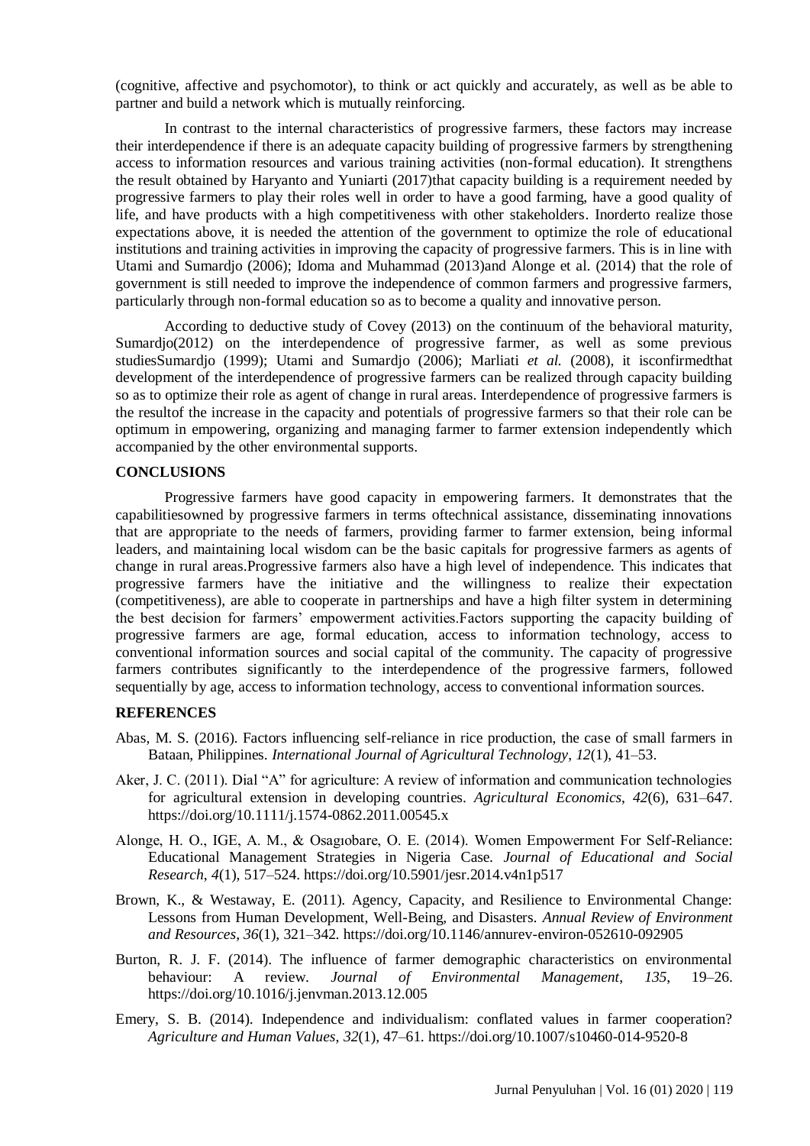(cognitive, affective and psychomotor), to think or act quickly and accurately, as well as be able to partner and build a network which is mutually reinforcing.

In contrast to the internal characteristics of progressive farmers, these factors may increase their interdependence if there is an adequate capacity building of progressive farmers by strengthening access to information resources and various training activities (non-formal education). It strengthens the result obtained by Haryanto and Yuniarti (2017)that capacity building is a requirement needed by progressive farmers to play their roles well in order to have a good farming, have a good quality of life, and have products with a high competitiveness with other stakeholders. Inorderto realize those expectations above, it is needed the attention of the government to optimize the role of educational institutions and training activities in improving the capacity of progressive farmers. This is in line with Utami and Sumardjo (2006); Idoma and Muhammad (2013)and Alonge et al. (2014) that the role of government is still needed to improve the independence of common farmers and progressive farmers, particularly through non-formal education so as to become a quality and innovative person.

According to deductive study of Covey (2013) on the continuum of the behavioral maturity, Sumardjo(2012) on the interdependence of progressive farmer, as well as some previous studiesSumardjo (1999); Utami and Sumardjo (2006); Marliati *et al.* (2008), it isconfirmedthat development of the interdependence of progressive farmers can be realized through capacity building so as to optimize their role as agent of change in rural areas. Interdependence of progressive farmers is the resultof the increase in the capacity and potentials of progressive farmers so that their role can be optimum in empowering, organizing and managing farmer to farmer extension independently which accompanied by the other environmental supports.

#### **CONCLUSIONS**

Progressive farmers have good capacity in empowering farmers. It demonstrates that the capabilitiesowned by progressive farmers in terms oftechnical assistance, disseminating innovations that are appropriate to the needs of farmers, providing farmer to farmer extension, being informal leaders, and maintaining local wisdom can be the basic capitals for progressive farmers as agents of change in rural areas.Progressive farmers also have a high level of independence. This indicates that progressive farmers have the initiative and the willingness to realize their expectation (competitiveness), are able to cooperate in partnerships and have a high filter system in determining the best decision for farmers' empowerment activities.Factors supporting the capacity building of progressive farmers are age, formal education, access to information technology, access to conventional information sources and social capital of the community. The capacity of progressive farmers contributes significantly to the interdependence of the progressive farmers, followed sequentially by age, access to information technology, access to conventional information sources.

## **REFERENCES**

- Abas, M. S. (2016). Factors influencing self-reliance in rice production, the case of small farmers in Bataan, Philippines. *International Journal of Agricultural Technology*, *12*(1), 41–53.
- Aker, J. C. (2011). Dial "A" for agriculture: A review of information and communication technologies for agricultural extension in developing countries. *Agricultural Economics*, *42*(6), 631–647. https://doi.org/10.1111/j.1574-0862.2011.00545.x
- Alonge, H. O., IGE, A. M., & Osagıobare, O. E. (2014). Women Empowerment For Self-Reliance: Educational Management Strategies in Nigeria Case. *Journal of Educational and Social Research*, *4*(1), 517–524. https://doi.org/10.5901/jesr.2014.v4n1p517
- Brown, K., & Westaway, E. (2011). Agency, Capacity, and Resilience to Environmental Change: Lessons from Human Development, Well-Being, and Disasters. *Annual Review of Environment and Resources*, *36*(1), 321–342. https://doi.org/10.1146/annurev-environ-052610-092905
- Burton, R. J. F. (2014). The influence of farmer demographic characteristics on environmental behaviour: A review. *Journal of Environmental Management*, *135*, 19–26. https://doi.org/10.1016/j.jenvman.2013.12.005
- Emery, S. B. (2014). Independence and individualism: conflated values in farmer cooperation? *Agriculture and Human Values*, *32*(1), 47–61. https://doi.org/10.1007/s10460-014-9520-8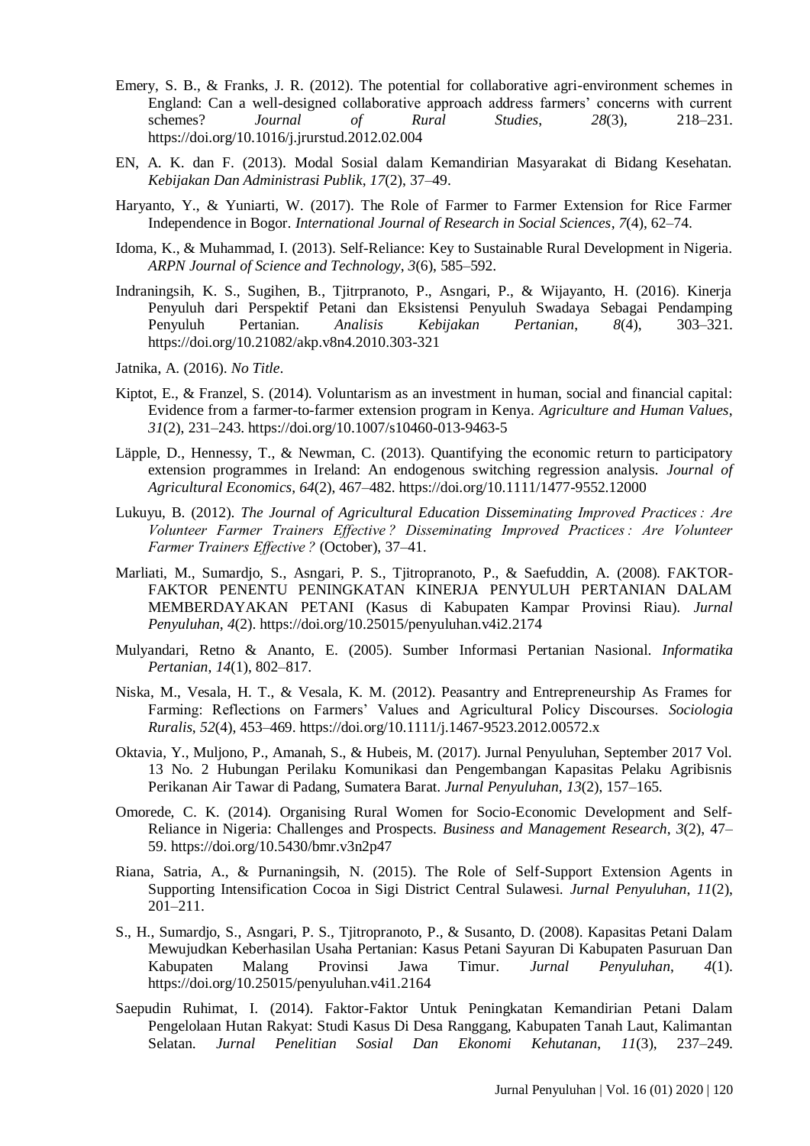- Emery, S. B., & Franks, J. R. (2012). The potential for collaborative agri-environment schemes in England: Can a well-designed collaborative approach address farmers' concerns with current schemes? *Journal of Rural Studies*, *28*(3), 218–231. https://doi.org/10.1016/j.jrurstud.2012.02.004
- EN, A. K. dan F. (2013). Modal Sosial dalam Kemandirian Masyarakat di Bidang Kesehatan. *Kebijakan Dan Administrasi Publik*, *17*(2), 37–49.
- Haryanto, Y., & Yuniarti, W. (2017). The Role of Farmer to Farmer Extension for Rice Farmer Independence in Bogor. *International Journal of Research in Social Sciences*, *7*(4), 62–74.
- Idoma, K., & Muhammad, I. (2013). Self-Reliance: Key to Sustainable Rural Development in Nigeria. *ARPN Journal of Science and Technology*, *3*(6), 585–592.
- Indraningsih, K. S., Sugihen, B., Tjitrpranoto, P., Asngari, P., & Wijayanto, H. (2016). Kinerja Penyuluh dari Perspektif Petani dan Eksistensi Penyuluh Swadaya Sebagai Pendamping Penyuluh Pertanian. *Analisis Kebijakan Pertanian*, *8*(4), 303–321. https://doi.org/10.21082/akp.v8n4.2010.303-321
- Jatnika, A. (2016). *No Title*.
- Kiptot, E., & Franzel, S. (2014). Voluntarism as an investment in human, social and financial capital: Evidence from a farmer-to-farmer extension program in Kenya. *Agriculture and Human Values*, *31*(2), 231–243. https://doi.org/10.1007/s10460-013-9463-5
- Läpple, D., Hennessy, T., & Newman, C. (2013). Quantifying the economic return to participatory extension programmes in Ireland: An endogenous switching regression analysis. *Journal of Agricultural Economics*, *64*(2), 467–482. https://doi.org/10.1111/1477-9552.12000
- Lukuyu, B. (2012). *The Journal of Agricultural Education Disseminating Improved Practices : Are Volunteer Farmer Trainers Effective ? Disseminating Improved Practices : Are Volunteer Farmer Trainers Effective ?* (October), 37–41.
- Marliati, M., Sumardjo, S., Asngari, P. S., Tjitropranoto, P., & Saefuddin, A. (2008). FAKTOR-FAKTOR PENENTU PENINGKATAN KINERJA PENYULUH PERTANIAN DALAM MEMBERDAYAKAN PETANI (Kasus di Kabupaten Kampar Provinsi Riau). *Jurnal Penyuluhan*, *4*(2). https://doi.org/10.25015/penyuluhan.v4i2.2174
- Mulyandari, Retno & Ananto, E. (2005). Sumber Informasi Pertanian Nasional. *Informatika Pertanian*, *14*(1), 802–817.
- Niska, M., Vesala, H. T., & Vesala, K. M. (2012). Peasantry and Entrepreneurship As Frames for Farming: Reflections on Farmers' Values and Agricultural Policy Discourses. *Sociologia Ruralis*, *52*(4), 453–469. https://doi.org/10.1111/j.1467-9523.2012.00572.x
- Oktavia, Y., Muljono, P., Amanah, S., & Hubeis, M. (2017). Jurnal Penyuluhan, September 2017 Vol. 13 No. 2 Hubungan Perilaku Komunikasi dan Pengembangan Kapasitas Pelaku Agribisnis Perikanan Air Tawar di Padang, Sumatera Barat. *Jurnal Penyuluhan*, *13*(2), 157–165.
- Omorede, C. K. (2014). Organising Rural Women for Socio-Economic Development and Self-Reliance in Nigeria: Challenges and Prospects. *Business and Management Research*, *3*(2), 47– 59. https://doi.org/10.5430/bmr.v3n2p47
- Riana, Satria, A., & Purnaningsih, N. (2015). The Role of Self-Support Extension Agents in Supporting Intensification Cocoa in Sigi District Central Sulawesi. *Jurnal Penyuluhan*, *11*(2), 201–211.
- S., H., Sumardjo, S., Asngari, P. S., Tjitropranoto, P., & Susanto, D. (2008). Kapasitas Petani Dalam Mewujudkan Keberhasilan Usaha Pertanian: Kasus Petani Sayuran Di Kabupaten Pasuruan Dan Kabupaten Malang Provinsi Jawa Timur. *Jurnal Penyuluhan*, *4*(1). https://doi.org/10.25015/penyuluhan.v4i1.2164
- Saepudin Ruhimat, I. (2014). Faktor-Faktor Untuk Peningkatan Kemandirian Petani Dalam Pengelolaan Hutan Rakyat: Studi Kasus Di Desa Ranggang, Kabupaten Tanah Laut, Kalimantan Selatan. *Jurnal Penelitian Sosial Dan Ekonomi Kehutanan*, *11*(3), 237–249.